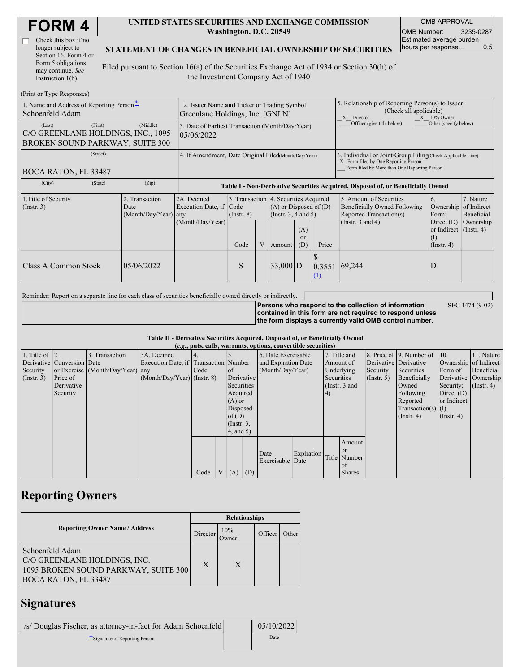| <b>FORM4</b> |
|--------------|
|--------------|

| Check this box if no  |
|-----------------------|
| longer subject to     |
| Section 16. Form 4 or |
| Form 5 obligations    |
| may continue. See     |
| Instruction 1(b).     |

#### **UNITED STATES SECURITIES AND EXCHANGE COMMISSION Washington, D.C. 20549**

OMB APPROVAL OMB Number: 3235-0287 Estimated average burden hours per response... 0.5

#### **STATEMENT OF CHANGES IN BENEFICIAL OWNERSHIP OF SECURITIES**

Filed pursuant to Section 16(a) of the Securities Exchange Act of 1934 or Section 30(h) of the Investment Company Act of 1940

| (Print or Type Responses)                                                                  |                                                                                                                                                                                                                                  |                                                                                  |      |                                                                                                                                                                                                                |            |                             |                                                                                                                                                    |                            |                                                           |  |
|--------------------------------------------------------------------------------------------|----------------------------------------------------------------------------------------------------------------------------------------------------------------------------------------------------------------------------------|----------------------------------------------------------------------------------|------|----------------------------------------------------------------------------------------------------------------------------------------------------------------------------------------------------------------|------------|-----------------------------|----------------------------------------------------------------------------------------------------------------------------------------------------|----------------------------|-----------------------------------------------------------|--|
| 1. Name and Address of Reporting Person-<br>Schoenfeld Adam                                | 2. Issuer Name and Ticker or Trading Symbol<br>Greenlane Holdings, Inc. [GNLN]                                                                                                                                                   |                                                                                  |      |                                                                                                                                                                                                                |            |                             | 5. Relationship of Reporting Person(s) to Issuer<br>(Check all applicable)<br>$X = 10\%$ Owner<br>X Director                                       |                            |                                                           |  |
| (First)<br>(Last)<br>C/O GREENLANE HOLDINGS, INC., 1095<br>BROKEN SOUND PARKWAY, SUITE 300 | (Middle)                                                                                                                                                                                                                         | 3. Date of Earliest Transaction (Month/Day/Year)<br>05/06/2022                   |      |                                                                                                                                                                                                                |            |                             |                                                                                                                                                    | Officer (give title below) | Other (specify below)                                     |  |
| (Street)<br>BOCA RATON, FL 33487                                                           | 4. If Amendment, Date Original Filed(Month/Day/Year)                                                                                                                                                                             |                                                                                  |      |                                                                                                                                                                                                                |            |                             | 6. Individual or Joint/Group Filing Check Applicable Line)<br>X Form filed by One Reporting Person<br>Form filed by More than One Reporting Person |                            |                                                           |  |
| (City)<br>(State)                                                                          | (Zip)                                                                                                                                                                                                                            | Table I - Non-Derivative Securities Acquired, Disposed of, or Beneficially Owned |      |                                                                                                                                                                                                                |            |                             |                                                                                                                                                    |                            |                                                           |  |
| 1. Title of Security<br>(Insert. 3)                                                        | 2. Transaction<br>3. Transaction 4. Securities Acquired<br>2A. Deemed<br>Execution Date, if Code<br>$(A)$ or Disposed of $(D)$<br>Date<br>(Month/Day/Year)<br>(Insert. 3, 4 and 5)<br>$($ Instr. $8)$<br>any<br>(Month/Day/Year) |                                                                                  |      | 5. Amount of Securities<br>7. Nature<br>6.<br>of Indirect<br>Beneficially Owned Following<br>Ownership<br>Reported Transaction(s)<br>Form:<br>Beneficial<br>(Instr. $3$ and $4$ )<br>Ownership<br>Direct $(D)$ |            |                             |                                                                                                                                                    |                            |                                                           |  |
|                                                                                            |                                                                                                                                                                                                                                  |                                                                                  | Code | V                                                                                                                                                                                                              | Amount     | (A)<br><sub>or</sub><br>(D) | Price                                                                                                                                              |                            | or Indirect $($ Instr. 4)<br>$\rm(1)$<br>$($ Instr. 4 $)$ |  |
| <b>Class A Common Stock</b>                                                                | 05/06/2022                                                                                                                                                                                                                       |                                                                                  | S    |                                                                                                                                                                                                                | $33,000$ D |                             | 0.3551<br>$\Box$                                                                                                                                   | 69,244                     | D                                                         |  |

Reminder: Report on a separate line for each class of securities beneficially owned directly or indirectly.

**Persons who respond to the collection of information contained in this form are not required to respond unless the form displays a currently valid OMB control number.** SEC 1474 (9-02)

#### **Table II - Derivative Securities Acquired, Disposed of, or Beneficially Owned (***e.g.***, puts, calls, warrants, options, convertible securities)**

|                        | $(0.5, 0.005, 0.005, 0.0005, 0.00005, 0.0000, 0.0000, 0.0000, 0.0000, 0.0000, 0.0000, 0.0000, 0.0000, 0.0000, 0.0000, 0.0000, 0.0000, 0.0000, 0.0000, 0.0000, 0.0000, 0.0000, 0.0000, 0.0000, 0.0000, 0.0000, 0.0000, 0.0000,$ |                                  |                                       |        |          |                 |            |                     |            |           |               |                       |                              |                       |                      |
|------------------------|--------------------------------------------------------------------------------------------------------------------------------------------------------------------------------------------------------------------------------|----------------------------------|---------------------------------------|--------|----------|-----------------|------------|---------------------|------------|-----------|---------------|-----------------------|------------------------------|-----------------------|----------------------|
| 1. Title of $\vert$ 2. |                                                                                                                                                                                                                                | 3. Transaction                   | 3A. Deemed                            |        |          |                 |            | 6. Date Exercisable |            |           | 7. Title and  |                       | 8. Price of 9. Number of 10. |                       | 11. Nature           |
|                        | Derivative Conversion Date                                                                                                                                                                                                     |                                  | Execution Date, if Transaction Number |        |          |                 |            | and Expiration Date |            | Amount of |               | Derivative Derivative |                              | Ownership of Indirect |                      |
| Security               |                                                                                                                                                                                                                                | or Exercise (Month/Day/Year) any |                                       | I Code |          | <sub>of</sub>   |            | (Month/Day/Year)    |            |           | Underlying    | Security              | Securities                   | Form of               | Beneficial           |
| (Insert. 3)            | Price of                                                                                                                                                                                                                       |                                  | $(Month/Day/Year)$ (Instr. 8)         |        |          |                 | Derivative |                     | Securities |           |               | (Insert, 5)           | Beneficially                 |                       | Derivative Ownership |
|                        | Derivative                                                                                                                                                                                                                     |                                  |                                       |        |          | Securities      |            |                     |            |           | (Instr. 3 and |                       | Owned                        | Security:             | $($ Instr. 4)        |
|                        | Security                                                                                                                                                                                                                       |                                  |                                       |        |          | Acquired        |            |                     |            | 4)        |               |                       | Following                    | Direct $(D)$          |                      |
|                        |                                                                                                                                                                                                                                |                                  |                                       |        |          | $(A)$ or        |            |                     |            |           |               |                       | Reported                     | or Indirect           |                      |
|                        |                                                                                                                                                                                                                                |                                  |                                       |        | Disposed |                 |            |                     |            |           |               |                       | Transaction(s) $(I)$         |                       |                      |
|                        |                                                                                                                                                                                                                                |                                  |                                       |        |          |                 | of $(D)$   |                     |            |           |               | $($ Instr. 4 $)$      | $($ Instr. 4 $)$             |                       |                      |
|                        |                                                                                                                                                                                                                                |                                  |                                       |        |          | $($ Instr. $3,$ |            |                     |            |           |               |                       |                              |                       |                      |
|                        |                                                                                                                                                                                                                                |                                  |                                       |        |          | (4, and 5)      |            |                     |            |           |               |                       |                              |                       |                      |
|                        |                                                                                                                                                                                                                                |                                  |                                       |        |          |                 |            |                     |            |           | Amount        |                       |                              |                       |                      |
|                        |                                                                                                                                                                                                                                |                                  |                                       |        |          |                 |            | Date                | Expiration |           | <b>or</b>     |                       |                              |                       |                      |
|                        |                                                                                                                                                                                                                                |                                  |                                       |        |          |                 |            | Exercisable Date    |            |           | Title Number  |                       |                              |                       |                      |
|                        |                                                                                                                                                                                                                                |                                  |                                       |        |          |                 |            |                     |            |           | of            |                       |                              |                       |                      |
|                        |                                                                                                                                                                                                                                |                                  |                                       | Code   |          | $V(A)$ (D)      |            |                     |            |           | <b>Shares</b> |                       |                              |                       |                      |

## **Reporting Owners**

|                                                                                                                        | <b>Relationships</b> |              |         |       |  |  |  |
|------------------------------------------------------------------------------------------------------------------------|----------------------|--------------|---------|-------|--|--|--|
| <b>Reporting Owner Name / Address</b>                                                                                  | Director             | 10%<br>Owner | Officer | Other |  |  |  |
| Schoenfeld Adam<br>C/O GREENLANE HOLDINGS, INC.<br>1095 BROKEN SOUND PARKWAY, SUITE 300<br><b>BOCA RATON, FL 33487</b> | X                    | X            |         |       |  |  |  |

## **Signatures**

| /s/ Douglas Fischer, as attorney-in-fact for Adam Schoenfeld | 05/10/2022 |
|--------------------------------------------------------------|------------|
| "Signature of Reporting Person"                              | Date       |